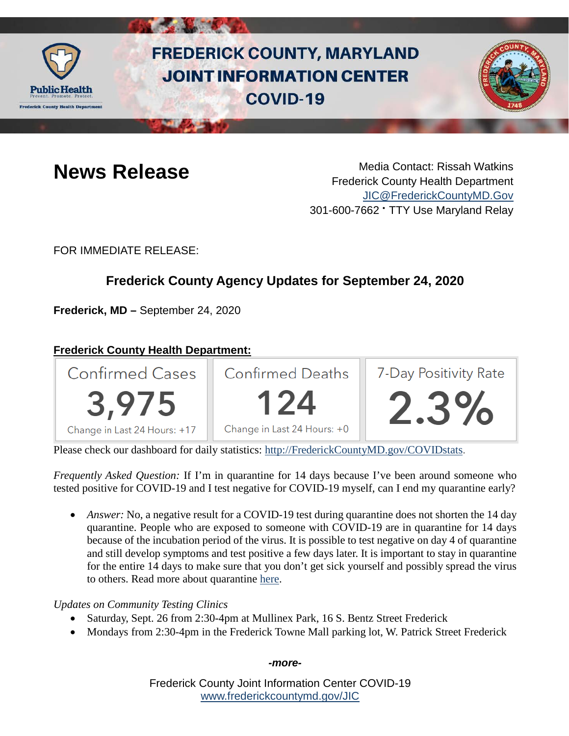

# **FREDERICK COUNTY, MARYLAND JOINT INFORMATION CENTER COVID-19**



**News Release** Media Contact: Rissah Watkins Frederick County Health Department [JIC@FrederickCountyMD.Gov](mailto:JIC@FrederickCountyMD.Gov) 301-600-7662 • TTY Use Maryland Relay

FOR IMMEDIATE RELEASE:

## **Frederick County Agency Updates for September 24, 2020**

**Frederick, MD –** September 24, 2020

### **Frederick County Health Department:**



Please check our dashboard for daily statistics: [http://FrederickCountyMD.gov/COVIDstats.](http://frederickcountymd.gov/COVIDstats)

*Frequently Asked Question:* If I'm in quarantine for 14 days because I've been around someone who tested positive for COVID-19 and I test negative for COVID-19 myself, can I end my quarantine early?

• *Answer:* No, a negative result for a COVID-19 test during quarantine does not shorten the 14 day quarantine. People who are exposed to someone with COVID-19 are in quarantine for 14 days because of the incubation period of the virus. It is possible to test negative on day 4 of quarantine and still develop symptoms and test positive a few days later. It is important to stay in quarantine for the entire 14 days to make sure that you don't get sick yourself and possibly spread the virus to others. Read more about quarantine [here.](https://www.cdc.gov/coronavirus/2019-ncov/if-you-are-sick/quarantine.html)

#### *Updates on Community Testing Clinics*

- Saturday, Sept. 26 from 2:30-4pm at Mullinex Park, 16 S. Bentz Street Frederick
- Mondays from 2:30-4pm in the Frederick Towne Mall parking lot, W. Patrick Street Frederick

*-more-*

Frederick County Joint Information Center COVID-19 [www.frederickcountymd.gov/JIC](https://frederickcountymd.gov/JIC)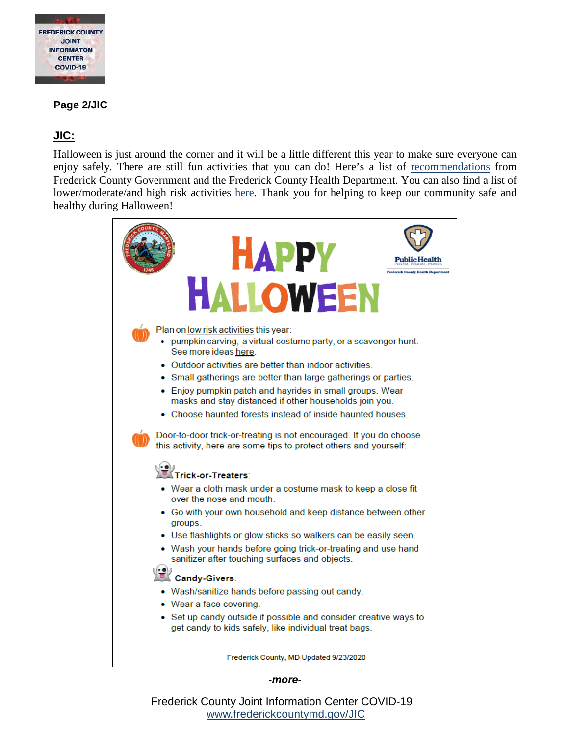

#### **Page 2/JIC**

#### **JIC:**

Halloween is just around the corner and it will be a little different this year to make sure everyone can enjoy safely. There are still fun activities that you can do! Here's a list of [recommendations](https://health.frederickcountymd.gov/DocumentCenter/View/6198/FC-Happy-Halloween-2020) from Frederick County Government and the Frederick County Health Department. You can also find a list of lower/moderate/and high risk activities [here.](https://www.cdc.gov/coronavirus/2019-ncov/daily-life-coping/holidays.html#halloween) Thank you for helping to keep our community safe and healthy during Halloween!



#### *-more-*

Frederick County Joint Information Center COVID-19 [www.frederickcountymd.gov/JIC](https://frederickcountymd.gov/JIC)